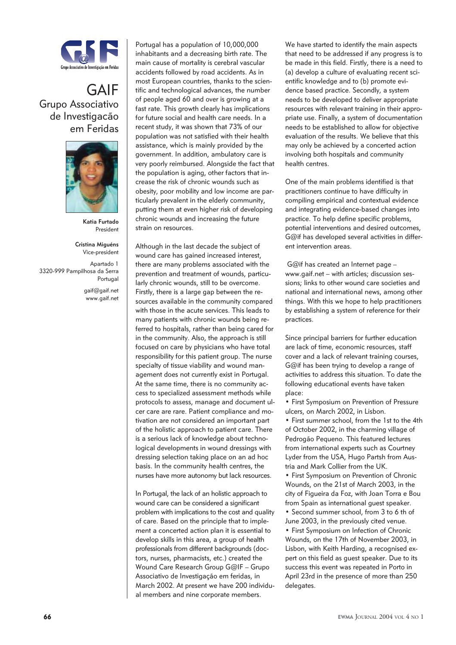

## GAIF Grupo Associativo de Investigacão em Feridas



**Katia Furtado**  President

**Cristina Miguéns** Vice-president Apartado 1 3320-999 Pampilhosa da Serra Portugal gaif@gaif.net www.gaif.net Portugal has a population of 10,000,000 inhabitants and a decreasing birth rate. The main cause of mortality is cerebral vascular accidents followed by road accidents. As in most European countries, thanks to the scientific and technological advances, the number of people aged 60 and over is growing at a fast rate. This growth clearly has implications for future social and health care needs. In a recent study, it was shown that 73% of our population was not satisfied with their health assistance, which is mainly provided by the government. In addition, ambulatory care is very poorly reimbursed. Alongside the fact that the population is aging, other factors that increase the risk of chronic wounds such as obesity, poor mobility and low income are particularly prevalent in the elderly community, putting them at even higher risk of developing chronic wounds and increasing the future strain on resources.

Although in the last decade the subject of wound care has gained increased interest, there are many problems associated with the prevention and treatment of wounds, particularly chronic wounds, still to be overcome. Firstly, there is a large gap between the resources available in the community compared with those in the acute services. This leads to many patients with chronic wounds being referred to hospitals, rather than being cared for in the community. Also, the approach is still focused on care by physicians who have total responsibility for this patient group. The nurse specialty of tissue viability and wound management does not currently exist in Portugal. At the same time, there is no community access to specialized assessment methods while protocols to assess, manage and document ulcer care are rare. Patient compliance and motivation are not considered an important part of the holistic approach to patient care. There is a serious lack of knowledge about technological developments in wound dressings with dressing selection taking place on an ad hoc basis. In the community health centres, the nurses have more autonomy but lack resources.

In Portugal, the lack of an holistic approach to wound care can be considered a significant problem with implications to the cost and quality of care. Based on the principle that to implement a concerted action plan it is essential to develop skills in this area, a group of health professionals from different backgrounds (doctors, nurses, pharmacists, etc.) created the Wound Care Research Group G@IF – Grupo Associativo de Investigação em feridas, in March 2002. At present we have 200 individual members and nine corporate members.

We have started to identify the main aspects that need to be addressed if any progress is to be made in this field. Firstly, there is a need to (a) develop a culture of evaluating recent scientific knowledge and to (b) promote evidence based practice. Secondly, a system needs to be developed to deliver appropriate resources with relevant training in their appropriate use. Finally, a system of documentation needs to be established to allow for objective evaluation of the results. We believe that this may only be achieved by a concerted action involving both hospitals and community health centres.

One of the main problems identified is that practitioners continue to have difficulty in compiling empirical and contextual evidence and integrating evidence-based changes into practice. To help define specific problems, potential interventions and desired outcomes, G@if has developed several activities in different intervention areas.

 G@if has created an Internet page – www.gaif.net – with articles; discussion sessions; links to other wound care societies and national and international news, among other things. With this we hope to help practitioners by establishing a system of reference for their practices.

Since principal barriers for further education are lack of time, economic resources, staff cover and a lack of relevant training courses, G@if has been trying to develop a range of activities to address this situation. To date the following educational events have taken place:

• First Symposium on Prevention of Pressure ulcers, on March 2002, in Lisbon.

• First summer school, from the 1st to the 4th of October 2002, in the charming village of Pedrogão Pequeno. This featured lectures from international experts such as Courtney Lyder from the USA, Hugo Partsh from Austria and Mark Collier from the UK.

• First Symposium on Prevention of Chronic Wounds, on the 21st of March 2003, in the city of Figueira da Foz, with Joan Torra e Bou from Spain as international guest speaker.

• Second summer school, from 3 to 6 th of June 2003, in the previously cited venue. • First Symposium on Infection of Chronic Wounds, on the 17th of November 2003, in Lisbon, with Keith Harding, a recognised expert on this field as quest speaker. Due to its success this event was repeated in Porto in April 23rd in the presence of more than 250 delegates.